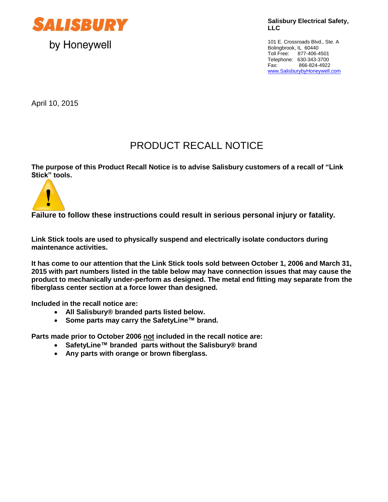

**Salisbury Electrical Safety, LLC**

101 E. Crossroads Blvd., Ste. A Bolingbrook, IL 60440 Toll Free: 877-406-4501 Telephone: 630-343-3700 Fax: 866-824-4922 [www.SalisburybyHoneywell.com](http://www.salisburybyhoneywell.com/)

April 10, 2015

## PRODUCT RECALL NOTICE

**The purpose of this Product Recall Notice is to advise Salisbury customers of a recall of "Link Stick" tools.**



**Failure to follow these instructions could result in serious personal injury or fatality.**

**Link Stick tools are used to physically suspend and electrically isolate conductors during maintenance activities.** 

**It has come to our attention that the Link Stick tools sold between October 1, 2006 and March 31, 2015 with part numbers listed in the table below may have connection issues that may cause the product to mechanically under-perform as designed. The metal end fitting may separate from the fiberglass center section at a force lower than designed.**

**Included in the recall notice are:**

- **All Salisbury® branded parts listed below.**
- **Some parts may carry the SafetyLine™ brand.**

**Parts made prior to October 2006 not included in the recall notice are:**

- **SafetyLine™ branded parts without the Salisbury® brand**
- **Any parts with orange or brown fiberglass.**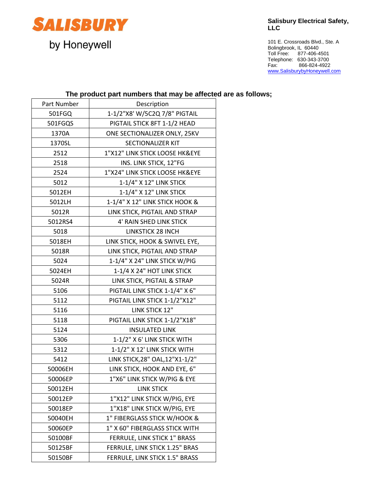

**Salisbury Electrical Safety, LLC**

101 E. Crossroads Blvd., Ste. A Bolingbrook, IL 60440 Toll Free: 877-406-4501 Telephone: 630-343-3700 Fax: 866-824-4922 [www.SalisburybyHoneywell.com](http://www.salisburybyhoneywell.com/)

## **The product part numbers that may be affected are as follows;**

| Part Number | Description                     |
|-------------|---------------------------------|
| 501FGQ      | 1-1/2"X8' W/5C2Q 7/8" PIGTAIL   |
| 501FGQS     | PIGTAIL STICK 8FT 1-1/2 HEAD    |
| 1370A       | ONE SECTIONALIZER ONLY, 25KV    |
| 1370SL      | <b>SECTIONALIZER KIT</b>        |
| 2512        | 1"X12" LINK STICK LOOSE HK&EYE  |
| 2518        | INS. LINK STICK, 12"FG          |
| 2524        | 1"X24" LINK STICK LOOSE HK&EYE  |
| 5012        | 1-1/4" X 12" LINK STICK         |
| 5012EH      | 1-1/4" X 12" LINK STICK         |
| 5012LH      | 1-1/4" X 12" LINK STICK HOOK &  |
| 5012R       | LINK STICK, PIGTAIL AND STRAP   |
| 5012RS4     | 4' RAIN SHED LINK STICK         |
| 5018        | <b>LINKSTICK 28 INCH</b>        |
| 5018EH      | LINK STICK, HOOK & SWIVEL EYE,  |
| 5018R       | LINK STICK, PIGTAIL AND STRAP   |
| 5024        | 1-1/4" X 24" LINK STICK W/PIG   |
| 5024EH      | 1-1/4 X 24" HOT LINK STICK      |
| 5024R       | LINK STICK, PIGTAIL & STRAP     |
| 5106        | PIGTAIL LINK STICK 1-1/4" X 6"  |
| 5112        | PIGTAIL LINK STICK 1-1/2"X12"   |
| 5116        | LINK STICK 12"                  |
| 5118        | PIGTAIL LINK STICK 1-1/2"X18"   |
| 5124        | <b>INSULATED LINK</b>           |
| 5306        | 1-1/2" X 6' LINK STICK WITH     |
| 5312        | 1-1/2" X 12' LINK STICK WITH    |
| 5412        | LINK STICK, 28" OAL, 12"X1-1/2" |
| 50006EH     | LINK STICK, HOOK AND EYE, 6"    |
| 50006EP     | 1"X6" LINK STICK W/PIG & EYE    |
| 50012EH     | <b>LINK STICK</b>               |
| 50012EP     | 1"X12" LINK STICK W/PIG, EYE    |
| 50018EP     | 1"X18" LINK STICK W/PIG, EYE    |
| 50040EH     | 1" FIBERGLASS STICK W/HOOK &    |
| 50060EP     | 1" X 60" FIBERGLASS STICK WITH  |
| 50100BF     | FERRULE, LINK STICK 1" BRASS    |
| 50125BF     | FERRULE, LINK STICK 1.25" BRAS  |
| 50150BF     | FERRULE, LINK STICK 1.5" BRASS  |